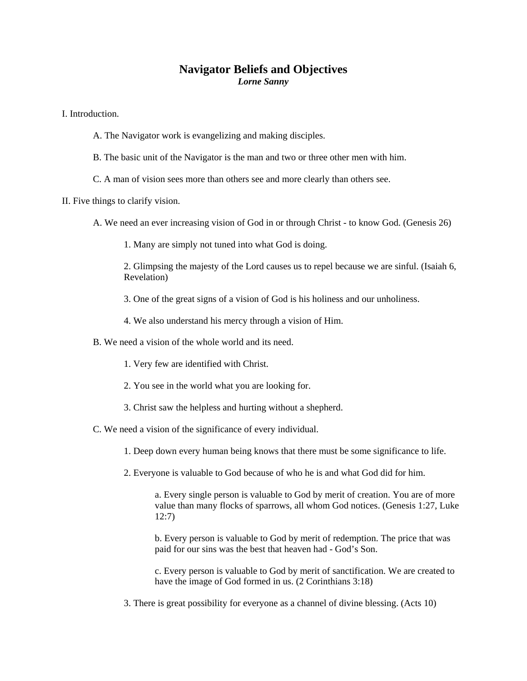## **Navigator Beliefs and Objectives**  *Lorne Sanny*

I. Introduction.

- A. The Navigator work is evangelizing and making disciples.
- B. The basic unit of the Navigator is the man and two or three other men with him.
- C. A man of vision sees more than others see and more clearly than others see.

II. Five things to clarify vision.

- A. We need an ever increasing vision of God in or through Christ to know God. (Genesis 26)
	- 1. Many are simply not tuned into what God is doing.

2. Glimpsing the majesty of the Lord causes us to repel because we are sinful. (Isaiah 6, Revelation)

- 3. One of the great signs of a vision of God is his holiness and our unholiness.
- 4. We also understand his mercy through a vision of Him.
- B. We need a vision of the whole world and its need.
	- 1. Very few are identified with Christ.
	- 2. You see in the world what you are looking for.
	- 3. Christ saw the helpless and hurting without a shepherd.
- C. We need a vision of the significance of every individual.
	- 1. Deep down every human being knows that there must be some significance to life.
	- 2. Everyone is valuable to God because of who he is and what God did for him.

a. Every single person is valuable to God by merit of creation. You are of more value than many flocks of sparrows, all whom God notices. (Genesis 1:27, Luke 12:7)

b. Every person is valuable to God by merit of redemption. The price that was paid for our sins was the best that heaven had - God's Son.

c. Every person is valuable to God by merit of sanctification. We are created to have the image of God formed in us. (2 Corinthians 3:18)

3. There is great possibility for everyone as a channel of divine blessing. (Acts 10)